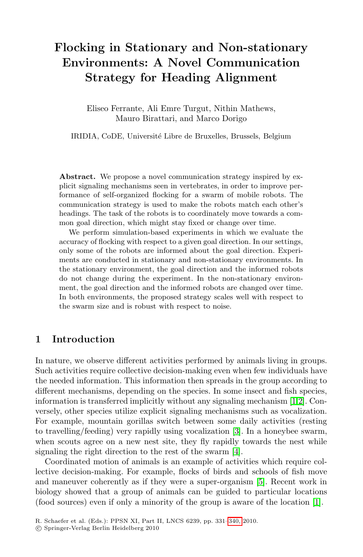# **Flocking in Stationary and Non-stationary Environments: A Novel Communication Strategy for Heading Alignment**

Eliseo Ferrante, Ali Emre Turgut, Nithin Mathews, Mauro Birattari, and Marco Dorigo

IRIDIA, CoDE, Université Libre de Bruxelles, Brussels, Belgium

**Abstract.** We propose a novel communication strategy inspired by explicit signaling mechanisms seen in vertebrates, in order to improve performance of self-organized flocking for a swarm of mobile robots. The communication strategy is used to make the robots match each other's headings. The task of the robots is to coordinately move towards a common goal direction, which might stay fixed or change over time.

We perform simulation-based experiments in which we evaluate the accuracy of flocking with respect to a given goal direction. In our settings, only some of the robots are informed about the goal direction. Experiments are conducted in stationary and non-stationary environments. In the stationary environment, the goal direction and the informed robots do not change during the experiment. In the non-stationary environment, the goal direction and the informed robots are changed over time. In both environments, the proposed strategy scales well with respect to the swarm size and is robust with respect to noise.

## **1 Introduction**

In nature, we observe different acti[vi](#page-9-0)ties performed by animals living in groups. Such activities require collective de[cis](#page-9-1)ion-making even when few individuals have the needed information. This information then spreads in the group according to different mechanisms, depending on the species. In some insect and fish species, information is transferred implicitly witho[ut](#page-9-2) any signaling mechanism [1,2]. Conversely, other species utilize explicit signaling mechanisms such as vocalization. For example, mountain gorillas switch between some [dai](#page-8-0)ly activities (resting to travelling/feeding) very rapidly using vocalization [3]. In a honeybee swarm, when scouts agree on a new nes[t site](#page-9-3), they fly rapidly towards the nest while signaling the right direction to the rest of the swarm [4].

Coordinated motion of animals is an example of activities which require collective decision-making. For example, flocks of birds and schools of fish move and maneuver coherently as if they were a super-organism [5]. Recent work in biology showed that a group of animals can be guided to particular locations (food sources) even if only a minority of the group is aware of the location [1].

R. Schaefer et al. (Eds.): PPSN XI, Part II, LNCS 6239, pp. 331–340, 2010.

<sup>-</sup>c Springer-Verlag Berlin Heidelberg 2010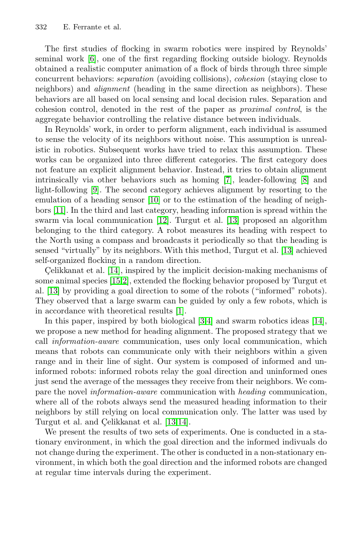#### 332 E. Ferrante et al.

The first studies of flocking in swarm robotics were inspired by Reynolds' seminal work [6], one of the first regarding flocking outside biology. Reynolds obtained a realistic computer animation of a flock of birds through three simple concurrent behaviors: *separation* (avoiding collisions), *cohesion* (staying close to neighbors) and *alignment* (heading in the same direction as neighbors). These behaviors are all based on local [sen](#page-9-4)sing and local deci[sio](#page-9-5)n rules. Separation and cohesion control, denoted in the rest of the paper as *proximal control*, is the aggregate b[eha](#page-9-6)vior controlling the relative distance between individuals.

In Reynolds' work, in order to perform alignment, each individual is assumed to sense the v[eloc](#page-9-7)ity of its neigh[bors](#page-9-8) without noise. This assumption is unrealistic in robotics. Subsequent works have tried to relax this assumption. These works can be organized into three different categories. The first category does not feature an explicit alignment behavior. Inst[ead,](#page-9-8) it tries to obtain alignment intrinsically via other behaviors such as homing [7], leader-following [8] and l[ight](#page-9-9)-following [9]. The second category achieves alignment by resorting to the e[mul](#page-9-10)[at](#page-8-1)ion of a heading sensor [10] or to the estimation of the heading of neighbors [11]. In the third and last category, heading information is spread within the swarm via local communication [12]. Turgut et al. [13] proposed an algorithm belonging to the th[ird](#page-8-0) category. A robot measures its heading with respect to the North using a compa[ss](#page-9-0) [an](#page-9-1)d broadcasts it periodicall[y so](#page-9-9) that the heading is sensed "virtually" by its neighbors. With this method, Turgut et al. [13] achieved self-organized flocking in a random direction.

Celikkanat et al. [14], inspired by the implicit decision-making mechanisms of some animal species [15,2], extended the flocking behavior proposed by Turgut et al. [13] by providing a goal direction to some of the robots ("informed" robots). They observed that a large swarm can be guided by only a few robots, which is in accordance with theoretical results [1].

In this paper, inspired by both biological [3,4] and swarm robotics ideas [14], we propose a new method for heading alignment. The proposed strategy that we call *information[-aw](#page-9-8)[are](#page-9-9)* communication, uses only local communication, which means that robots can communicate only with their neighbors within a given range and in their line of sight. Our system is composed of informed and uninformed robots: informed robots relay the goal direction and uninformed ones just send the average of the messages they receive from their neighbors. We compare the novel *information-aware* communication with *heading* communication, where all of the robots always send the measured heading information to their neighbors by still relying on local communication only. The latter was used by Turgut et al. and Celikkanat et al. [13,14].

We present the results of two sets of experiments. One is conducted in a stationary environment, in which the goal direction and the informed indivuals do not change during the experiment. The other is conducted in a non-stationary environment, in which both the goal direction and the informed robots are changed at regular time intervals during the experiment.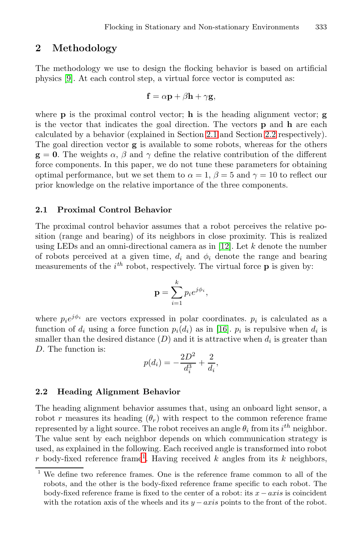## **2 Methodology**

The methodology we use to design the flocking behavior is based on artificial physics [9]. At each control step, a virtual force vector is computed as:

$$
\mathbf{f} = \alpha \mathbf{p} + \beta \mathbf{h} + \gamma \mathbf{g},
$$

<span id="page-2-0"></span>where **p** is the proximal control vector; **h** is the heading alignment vector; **g** is the vector that indicates the goal direction. The vectors **p** and **h** are each calculated by a behavior (explained in Section 2.1 and Section 2.2 respectively). The goal direction vector **g** is available to some robots, whereas for the others **g** = **0**. The weights  $\alpha$ ,  $\beta$  and  $\gamma$  define the relative contribution of the different force components. In this pape[r, w](#page-9-7)e do not tune these parameters for obtaining optimal performance, but we set them to  $\alpha = 1$ ,  $\beta = 5$  and  $\gamma = 10$  to reflect our prior knowledge on the relative importance of the three components.

#### **2.1 Proximal Control Behavior**

The proximal control behavior assumes that a robot perceives the relative position (range and bearing) of its neighbors in close proximity. This is realized using LEDs and an omni-direc[tion](#page-9-11)al camera as in  $[12]$ . Let k denote the number of robots perceived at a given time,  $d_i$  and  $\phi_i$  denote the range and bearing measurements of the  $i^{th}$  robot, respectively. The virtual force  $p$  is given by:

$$
\mathbf{p} = \sum_{i=1}^{k} p_i e^{j\phi_i},
$$

where  $p_i e^{j\phi_i}$  are vectors expressed in polar coordinates.  $p_i$  is calculated as a function of  $d_i$  using a force function  $p_i(d_i)$  as in [16].  $p_i$  is repulsive when  $d_i$  is smaller than the desired distance  $(D)$  and it is attractive when  $d_i$  is greater than D. The function is:

$$
p(d_i) = -\frac{2D^2}{d_i^3} + \frac{2}{d_i},
$$

#### **2.2 Heading Alignment Behavior**

The heading alignment behavior assumes that, using an onboard light sensor, a robot r measures its heading  $(\theta_r)$  with respect to the common reference frame represented by a light source. The robot receives an angle  $\theta_i$  from its  $i^{th}$  neighbor. The value sent by each neighbor depends on which communication strategy is used, as explained in the following. Each received angle is transformed into robot r body-fixed reference frame<sup>1</sup>. Having received k angles from its k neighbors,

We define two reference frames. One is the reference frame common to all of the robots, and the other is the body-fixed reference frame specific to each robot. The body-fixed reference frame is fixed to the center of a robot: its x *−* axis is coincident with the rotation axis of the wheels and its y *− axis* points to the front of the robot.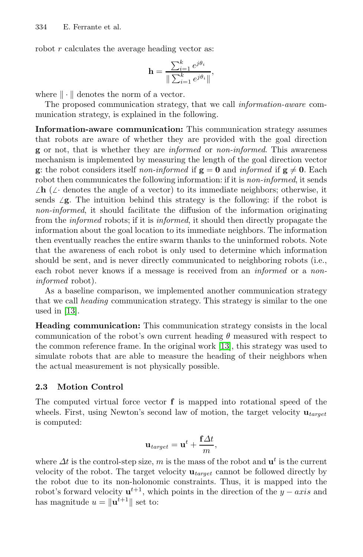334 E. Ferrante et al.

robot r calculates the average heading vector as:

$$
\mathbf{h} = \frac{\sum_{i=1}^{k} e^{j\theta_i}}{\|\sum_{i=1}^{k} e^{j\theta_i}\|},
$$

where  $\|\cdot\|$  denotes the norm of a vector.

The proposed communication strategy, that we call *information-aware* communication strategy, is explained in the following.

**Information-aware communication:** This communication strategy assumes that robots are aware of whether they are provided with the goal direction **g** or not, that is whether they are *informed* or *non-informed*. This awareness mechanism is implemented by measuring the length of the goal direction vector **g**: the robot considers itself *non-informed* if  $\mathbf{g} = \mathbf{0}$  and *informed* if  $\mathbf{g} \neq \mathbf{0}$ . Each robot then communicates the following information: if it is *non-informed*, it sends  $\angle$ **h** ( $\angle$  denotes the angle of a vector) to its immediate neighbors; otherwise, it sends  $\angle$ **g**. The intuition behind this strategy is the following: if the robot is *non-informed*, it should facilitate the diffusion of the information originating from the *informed* robots; if it is *informed*, it should then directly propagate the information about the goal location to its immediate neighbors. The information then eventually reaches the entire swarm thanks to the uninformed robots. Note that the awareness of each robot is only used to determine which information should be sent, and is never directly communicated to neighboring robots (i.e., each robot never knows if a [mess](#page-9-8)age is received from an *informed* or a *noninformed* robot).

As a baseline comparison, we implemented another communication strategy that we call *heading* communication strategy. This strategy is similar to the one used in [13].

**Heading communication:** This communication strategy consists in the local communication of the robot's own current heading  $\theta$  measured with respect to the common reference frame. In the original work [13], this strategy was used to simulate robots that are able to measure the heading of their neighbors when the actual measurement is not physically possible.

## **2.3 Motion Control**

The computed virtual force vector **f** is mapped into rotational speed of the wheels. First, using Newton's second law of motion, the target velocity **<sup>u</sup>***target* is computed:

$$
\mathbf{u}_{target} = \mathbf{u}^t + \frac{\mathbf{f} \Delta t}{m},
$$

where  $\Delta t$  is the control-step size, m is the mass of the robot and  $\mathbf{u}^t$  is the current velocity of the robot. The target velocity  $\mathbf{u}_{\text{target}}$  cannot be followed directly by the robot due to its non-holonomic constraints. Thus, it is mapped into the robot's forward velocity  $\mathbf{u}^{t+1}$ , which points in the direction of the  $y - axis$  and has magnitude  $u = \|\mathbf{u}^{t+1}\|$  set to: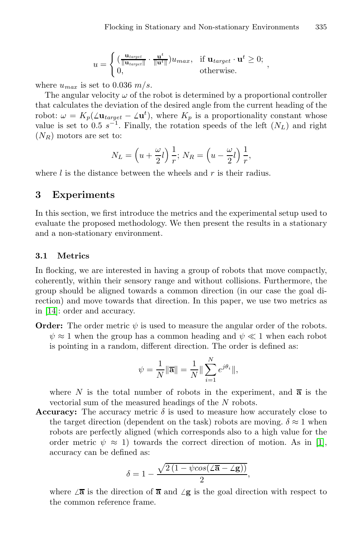$$
u = \begin{cases} (\frac{\mathbf{u}_{target}}{\|\mathbf{u}_{target}\|} \cdot \frac{\mathbf{u}^t}{\|\mathbf{u}^t\|}) u_{max}, & \text{if } \mathbf{u}_{target} \cdot \mathbf{u}^t \ge 0; \\ 0, & \text{otherwise.} \end{cases}
$$

where  $u_{max}$  is set to 0.036  $m/s$ .

The angular velocity  $\omega$  of the robot is determined by a proportional controller that calculates the deviation of the desired angle from the current heading of the robot:  $\omega = K_p(\angle \mathbf{u}_{target} - \angle \mathbf{u}^t)$ , where  $K_p$  is a proportionality constant whose value is set to 0.5 s<sup>-1</sup>. Finally, the rotation speeds of the left  $(N_L)$  and right  $(N_R)$  motors are set to:

$$
N_L = \left(u + \frac{\omega}{2}l\right)\frac{1}{r};\, N_R = \left(u - \frac{\omega}{2}l\right)\frac{1}{r},
$$

where  $l$  is the distance between the wheels and  $r$  is their radius.

## **3 Experiments**

In this section, we first introduce the metrics and the experimental setup used to evaluate the proposed methodology. We then present the results in a stationary and a non-stationary environment.

### **3.1 Metrics**

In flocking, we are interested in having a group of robots that move compactly, coherently, within their sensory range and without collisions. Furthermore, the group should be aligned towards a common direction (in our case the goal direction) and move towards that direction. In this paper, we use two metrics as in [14]: order and accuracy.

**Order:** The order metric  $\psi$  is used to measure the angular order of the robots.  $\psi \approx 1$  when the group has a common heading and  $\psi \ll 1$  when each robot is pointing in a random, different direction. The order is defined as:

$$
\psi = \frac{1}{N} \|\overline{\mathbf{a}}\| = \frac{1}{N} \|\sum_{i=1}^{N} e^{j\theta_i}\|,
$$

where N is the total number of robots in the experiment, and  $\overline{a}$  is the vectorial sum of the measured headings of the N robots.

**Accuracy:** The accuracy metric  $\delta$  is used to measure how accurately close to the target direction (dependent on the task) robots are moving.  $\delta \approx 1$  when robots are perfectly aligned (which corresponds also to a high value for the order metric  $\psi \approx 1$ ) towards the correct direction of motion. As in [1], accuracy can be defined as:

$$
\delta = 1 - \frac{\sqrt{2(1 - \psi cos(\angle \overline{\mathbf{a}} - \angle \mathbf{g}))}}{2},
$$

where  $\angle \overline{\mathbf{a}}$  is the direction of  $\overline{\mathbf{a}}$  and  $\angle \mathbf{g}$  is the goal direction with respect to the common reference frame.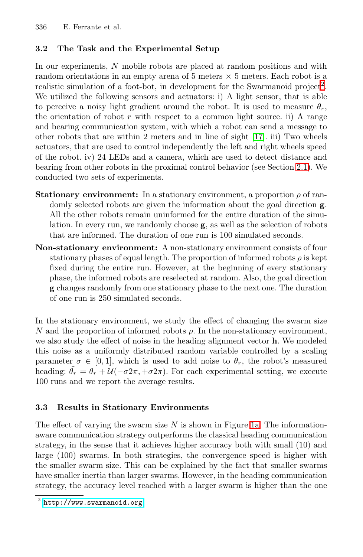336 E. Ferrante et al.

### **3.2 The Task and the Experimental Setup**

In our experiments, N mobile robots ar[e](#page-9-12) [p](#page-9-12)laced at random positions and with random orientations in an empty arena of  $5$  meters  $\times$  5 meters. Each robot is a realistic simulation of a foot-bot, in development fo[r th](#page-2-0)e Swarmanoid project<sup>2</sup>. We utilized the following sensors and actuators: i) A light sensor, that is able to perceive a noisy light gradient around the robot. It is used to measure  $\theta_r$ , the orientation of robot  $r$  with respect to a common light source. ii) A range and bearing communication system, with which a robot can send a message to other robots that are within 2 meters and in line of sight [17]. iii) Two wheels actuators, that are used to control independently the left and right wheels speed of the robot. iv) 24 LEDs and a camera, which are used to detect distance and bearing from other robots in the proximal control behavior (see Section 2.1). We conducted two sets of experiments.

- **Stationary environment:** In a stationary environment, a proportion  $\rho$  of randomly selected robots are given the information about the goal direction **g**. All the other robots remain uninformed for the entire duration of the simulation. In every run, we randomly choose **g**, as well as the selection of robots that are informed. The duration of one run is 100 simulated seconds.
- **Non-stationary environment:** A non-stationary environment consists of four stationary phases of equal length. The proportion of informed robots  $\rho$  is kept fixed during the entire run. However, at the beginning of every stationary phase, the informed robots are reselected at random. Also, the goal direction **g** changes randomly from one stationary phase to the next one. The duration of one run is 250 simulated seconds.

In the stationary environment, we study the effect of changing the swarm size N and the proportion of informed robots  $\rho$ . In the non-stationary environment, we also study the effect of noise in the heading alignment vector **h**. We modeled this noise as a uniformly distributed [rand](#page-6-0)om variable controlled by a scaling parameter  $\sigma \in [0, 1]$ , which is used to add noise to  $\theta_r$ , the robot's measured heading:  $\tilde{\theta_r} = \theta_r + \mathcal{U}(-\sigma 2\pi, +\sigma 2\pi)$ . For each experimental setting, we execute 100 runs and we report the average results.

### **3.3 Results in Stationary Environments**

[The effect](http://www.swarmanoid.org) of varying the swarm size  $N$  is shown in Figure 1a. The informationaware communication strategy outperforms the classical heading communication strategy, in the sense that it achieves higher accuracy both with small (10) and large (100) swarms. In both strategies, the convergence speed is higher with the smaller swarm size. This can be explained by the fact that smaller swarms have smaller inertia than larger swarms. However, in the heading communication strategy, the accuracy level reached with a larger swarm is higher than the one

 $\overline{2 \text{ http://www.swarmanoid.org}}$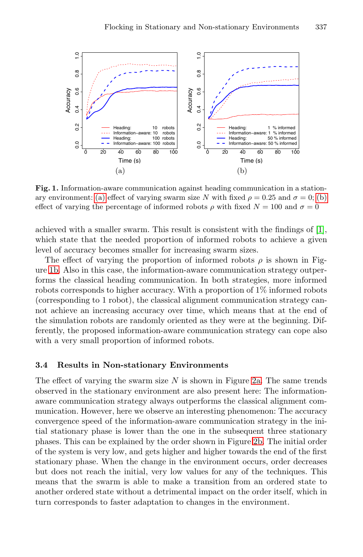<span id="page-6-0"></span>

**Fig. 1.** Information-aware communication against heading communication in a stationary environment: (a) effect of varying swarm size N with fixed  $\rho = 0.25$  and  $\sigma = 0$ ; (b) effect of varying the percentage of informed robots  $\rho$  with fixed  $N = 100$  and  $\sigma = 0$ 

achieved with a smaller swarm. This result is consistent with the findings of [1], which state that the needed proportion of informed robots to achieve a given level of accuracy becomes smaller for increasing swarm sizes.

The effect of varying the proportion of informed robots  $\rho$  is shown in Figure 1b. Also in this case, the information-aware communication strategy outperforms the classical heading communication. In both strategies, more informed robots corresponds to higher accuracy. With a proportion of 1% informed robots (corresponding to 1 robot), the classical [alig](#page-7-0)nment communication strategy cannot achieve an increasing accuracy over time, which means that at the end of the simulation robots are randomly oriented as they were at the beginning. Differently, the proposed information-aware communication strategy can cope also with a very small proportion of informed robots.

## **3.4 Results in Non-stationary En[viro](#page-7-1)nments**

The effect of varying the swarm size  $N$  is shown in Figure 2a. The same trends observed in the stationary environment are also present here: The informationaware communication strategy always outperforms the classical alignment communication. However, here we observe an interesting phenomenon: The accuracy convergence speed of the information-aware communication strategy in the initial stationary phase is lower than the one in the subsequent three stationary phases. This can be explained by the order shown in Figure 2b. The initial order of the system is very low, and gets higher and higher towards the end of the first stationary phase. When the change in the environment occurs, order decreases but does not reach the initial, very low values for any of the techniques. This means that the swarm is able to make a transition from an ordered state to another ordered state without a detrimental impact on the order itself, which in turn corresponds to faster adaptation to changes in the environment.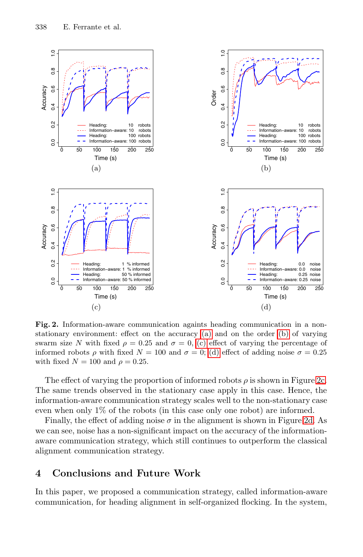<span id="page-7-1"></span><span id="page-7-0"></span>

<span id="page-7-3"></span><span id="page-7-2"></span>**Fig. 2.** Information-aware communication againts heading communication in a nonstationary environment: effect on the accuracy (a) and on the order (b) of varying swarm size N with fixed  $\rho = 0.25$  and  $\sigma = 0$ , (c) effect [of va](#page-7-3)rying the percentage of informed robots  $\rho$  with fixed  $N = 100$  and  $\sigma = 0$ ; (d) effect of adding noise  $\sigma = 0.25$ with fixed  $N = 100$  and  $\rho = 0.25$ .

The effect of varying the proportion of informed robots  $\rho$  is shown in Figure 2c. The same trends observed in the stationary case apply in this case. Hence, the information-aware communication strategy scales well to the non-stationary case even when only 1% of the robots (in this case only one robot) are informed.

Finally, the effect of adding noise  $\sigma$  in the alignment is shown in Figure 2d. As we can see, noise has a non-significant impact on the accuracy of the informationaware communication strategy, which still continues to outperform the classical alignment communication strategy.

## **4 Conclusions and Future Work**

In this paper, we proposed a communication strategy, called information-aware communication, for heading alignment in self-organized flocking. In the system,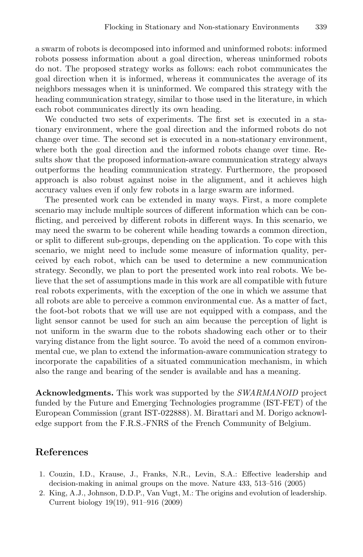a swarm of robots is decomposed into informed and uninformed robots: informed robots possess information about a goal direction, whereas uninformed robots do not. The proposed strategy works as follows: each robot communicates the goal direction when it is informed, whereas it communicates the average of its neighbors messages when it is uninformed. We compared this strategy with the heading communication strategy, similar to those used in the literature, in which each robot communicates directly its own heading.

We conducted two sets of experiments. The first set is executed in a stationary environment, where the goal direction and the informed robots do not change over time. The second set is executed in a non-stationary environment, where both the goal direction and the informed robots change over time. Results show that the proposed information-aware communication strategy always outperforms the heading communication strategy. Furthermore, the proposed approach is also robust against noise in the alignment, and it achieves high accuracy values even if only few robots in a large swarm are informed.

The presented work can be extended in many ways. First, a more complete scenario may include multiple sources of different information which can be conflicting, and perceived by different robots in different ways. In this scenario, we may need the swarm to be coherent while heading towards a common direction, or split to different sub-groups, depending on the application. To cope with this scenario, we might need to include some measure of information quality, perceived by each robot, which can be used to determine a new communication strategy. Secondly, we plan to port the presented work into real robots. We believe that the set of assumptions made in this work are all compatible with future real robots experiments, with the exception of the one in which we assume that all robots are able to perceive a common environmental cue. As a matter of fact, the foot-bot robots that we will use are not equipped with a compass, and the light sensor cannot be used for such an aim because the perception of light is not uniform in the swarm due to the robots shadowing each other or to their varying distance from the light source. To avoid the need of a common environmental cue, we plan to extend the information-aware communication strategy to incorporate the capabilities of a situated communication mechanism, in which also the range and bearing of the sender is available and has a meaning.

**Acknowledgments.** This work was supported by the *SWARMANOID* project funded by the Future and Emerging Technologies programme (IST-FET) of the European Commission (grant IST-022888). M. Birattari and M. Dorigo acknowledge support from the F.R.S.-FNRS of the French Community of Belgium.

## **References**

- <span id="page-8-0"></span>1. Couzin, I.D., Krause, J., Franks, N.R., Levin, S.A.: Effective leadership and decision-making in animal groups on the move. Nature 433, 513–516 (2005)
- <span id="page-8-1"></span>2. King, A.J., Johnson, D.D.P., Van Vugt, M.: The origins and evolution of leadership. Current biology 19(19), 911–916 (2009)